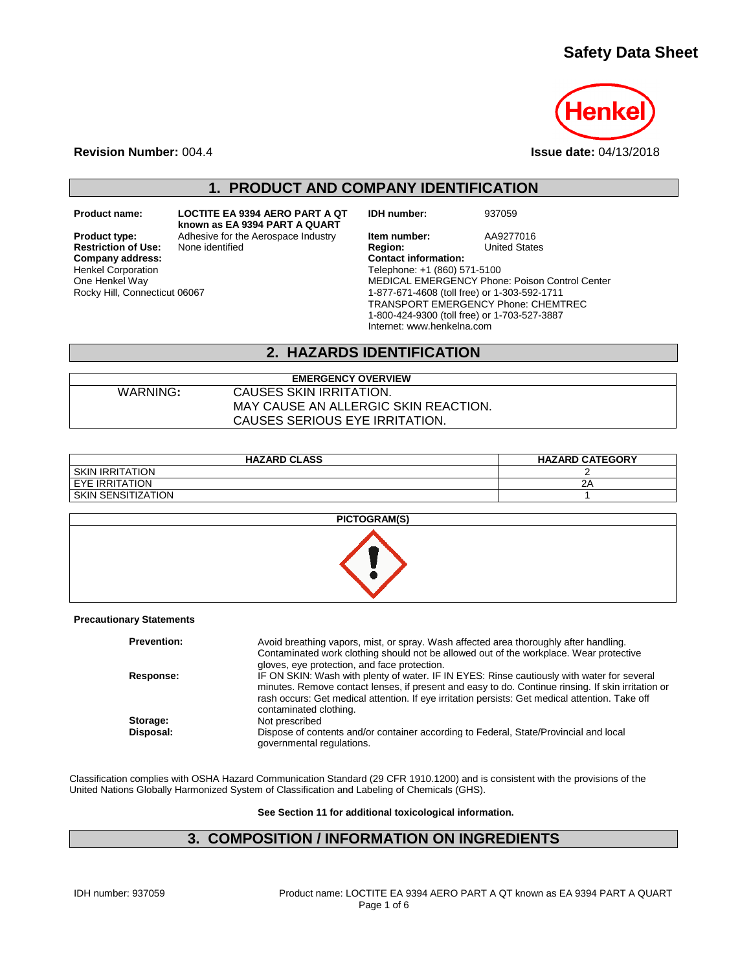# **Safety Data Sheet**



**Revision Number:** 004.4 **Issue date:** 04/13/2018

## **1. PRODUCT AND COMPANY IDENTIFICATION**

One Henkel Way

Rocky Hill, Connecticut 06067

**Restriction of Use:**<br>Company address: Henkel Corporation

**Product name: LOCTITE EA 9394 AERO PART A QT known as EA 9394 PART A QUART**

**IDH number:** 937059

**Product type:** Adhesive for the Aerospace Industry **Item number:** AA9277016<br> **Restriction of Use:** None identified **Region:** Region: United States **Company address: Contact information:** Telephone: +1 (860) 571-5100 MEDICAL EMERGENCY Phone: Poison Control Center 1-877-671-4608 (toll free) or 1-303-592-1711 TRANSPORT EMERGENCY Phone: CHEMTREC 1-800-424-9300 (toll free) or 1-703-527-3887 Internet: www.henkelna.com

#### **2. HAZARDS IDENTIFICATION**

# WARNING**:** CAUSES SKIN IRRITATION.

MAY CAUSE AN ALLERGIC SKIN REACTION. CAUSES SERIOUS EYE IRRITATION.

**EMERGENCY OVERVIEW**

| <b>HAZARD CLASS</b>  | <b>HAZARD CATEGORY</b> |
|----------------------|------------------------|
| I SKIN IRRITATION    |                        |
| I EYE IRRITATION     | 2Α                     |
| I SKIN SENSITIZATION |                        |
|                      |                        |



#### **Precautionary Statements**

| <b>Prevention:</b> | Avoid breathing vapors, mist, or spray. Wash affected area thoroughly after handling.<br>Contaminated work clothing should not be allowed out of the workplace. Wear protective<br>gloves, eye protection, and face protection.                                                                                               |
|--------------------|-------------------------------------------------------------------------------------------------------------------------------------------------------------------------------------------------------------------------------------------------------------------------------------------------------------------------------|
| Response:          | IF ON SKIN: Wash with plenty of water. IF IN EYES: Rinse cautiously with water for several<br>minutes. Remove contact lenses, if present and easy to do. Continue rinsing. If skin irritation or<br>rash occurs: Get medical attention. If eye irritation persists: Get medical attention. Take off<br>contaminated clothing. |
| Storage:           | Not prescribed                                                                                                                                                                                                                                                                                                                |
| Disposal:          | Dispose of contents and/or container according to Federal, State/Provincial and local<br>governmental regulations.                                                                                                                                                                                                            |

Classification complies with OSHA Hazard Communication Standard (29 CFR 1910.1200) and is consistent with the provisions of the United Nations Globally Harmonized System of Classification and Labeling of Chemicals (GHS).

**See Section 11 for additional toxicological information.**

## **3. COMPOSITION / INFORMATION ON INGREDIENTS**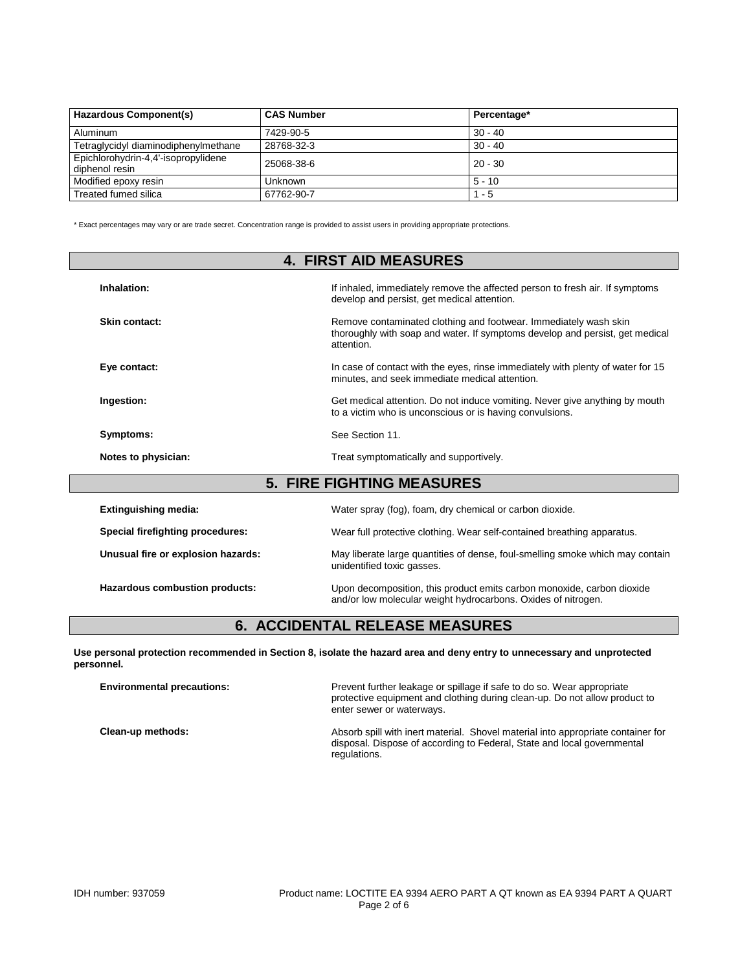| Hazardous Component(s)                                | <b>CAS Number</b> | Percentage* |
|-------------------------------------------------------|-------------------|-------------|
| Aluminum                                              | 7429-90-5         | $30 - 40$   |
| Tetraglycidyl diaminodiphenylmethane                  | 28768-32-3        | $30 - 40$   |
| Epichlorohydrin-4,4'-isopropylidene<br>diphenol resin | 25068-38-6        | $120 - 30$  |
| Modified epoxy resin                                  | Unknown           | 5 - 10      |
| Treated fumed silica                                  | 67762-90-7        | - 5         |

\* Exact percentages may vary or are trade secret. Concentration range is provided to assist users in providing appropriate protections.

|                                  | <b>4. FIRST AID MEASURES</b>                                                                                                                                   |  |
|----------------------------------|----------------------------------------------------------------------------------------------------------------------------------------------------------------|--|
| Inhalation:                      | If inhaled, immediately remove the affected person to fresh air. If symptoms<br>develop and persist, get medical attention.                                    |  |
| Skin contact:                    | Remove contaminated clothing and footwear. Immediately wash skin<br>thoroughly with soap and water. If symptoms develop and persist, get medical<br>attention. |  |
| Eye contact:                     | In case of contact with the eyes, rinse immediately with plenty of water for 15<br>minutes, and seek immediate medical attention.                              |  |
| Ingestion:                       | Get medical attention. Do not induce vomiting. Never give anything by mouth<br>to a victim who is unconscious or is having convulsions.                        |  |
| Symptoms:                        | See Section 11.                                                                                                                                                |  |
| Notes to physician:              | Treat symptomatically and supportively.                                                                                                                        |  |
| <b>5. FIRE FIGHTING MEASURES</b> |                                                                                                                                                                |  |
| <b>Extinguishing media:</b>      | Water spray (fog), foam, dry chemical or carbon dioxide.                                                                                                       |  |
| Special firefighting procedures: | Wear full protective clothing. Wear self-contained breathing apparatus.                                                                                        |  |

**Hazardous combustion products:** Upon decomposition, this product emits carbon monoxide, carbon dioxide and/or low molecular weight hydrocarbons. Oxides of nitrogen.

## **6. ACCIDENTAL RELEASE MEASURES**

**Unusual fire or explosion hazards:** May liberate large quantities of dense, foul-smelling smoke which may contain unidentified toxic gasses.

**Use personal protection recommended in Section 8, isolate the hazard area and deny entry to unnecessary and unprotected personnel.**

| <b>Environmental precautions:</b> | Prevent further leakage or spillage if safe to do so. Wear appropriate<br>protective equipment and clothing during clean-up. Do not allow product to<br>enter sewer or waterways. |
|-----------------------------------|-----------------------------------------------------------------------------------------------------------------------------------------------------------------------------------|
| Clean-up methods:                 | Absorb spill with inert material. Shovel material into appropriate container for<br>disposal. Dispose of according to Federal, State and local governmental<br>regulations.       |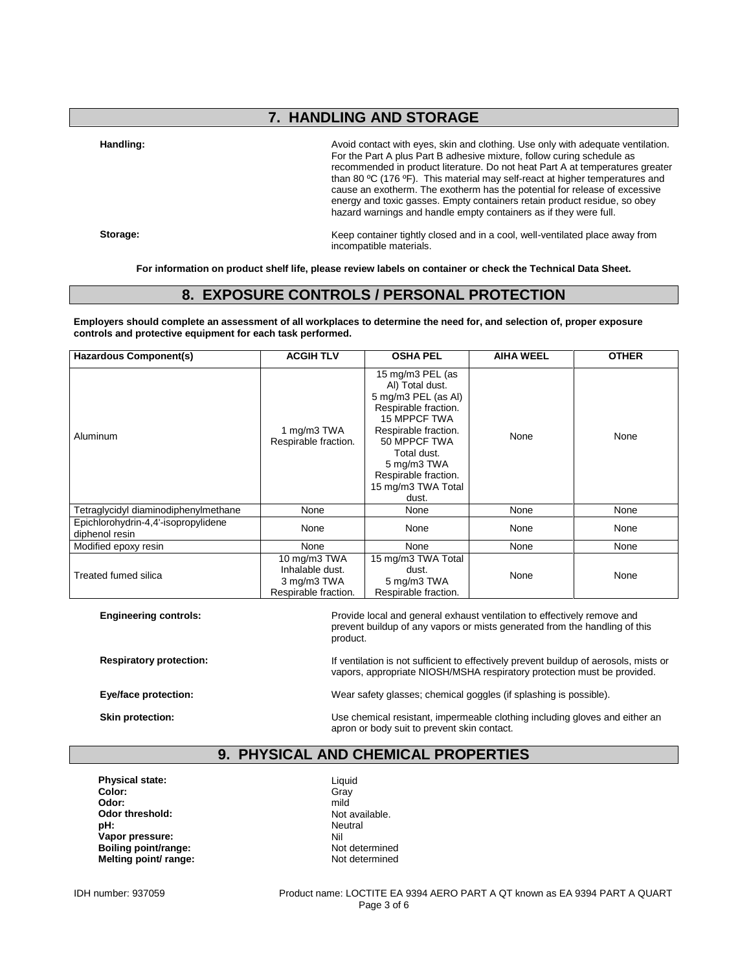# **7. HANDLING AND STORAGE**

Handling: **Handling: Avoid contact with eyes, skin and clothing.** Use only with adequate ventilation. For the Part A plus Part B adhesive mixture, follow curing schedule as recommended in product literature. Do not heat Part A at temperatures greater than 80 ºC (176 ºF). This material may self-react at higher temperatures and cause an exotherm. The exotherm has the potential for release of excessive energy and toxic gasses. Empty containers retain product residue, so obey hazard warnings and handle empty containers as if they were full.

**Storage:** Keep container tightly closed and in a cool, well-ventilated place away from incompatible materials.

**For information on product shelf life, please review labels on container or check the Technical Data Sheet.**

#### **8. EXPOSURE CONTROLS / PERSONAL PROTECTION**

**Employers should complete an assessment of all workplaces to determine the need for, and selection of, proper exposure controls and protective equipment for each task performed.**

| <b>Hazardous Component(s)</b>                         | <b>OSHA PEL</b><br><b>ACGIH TLV</b>                                    |                                                                                                                                                                                                                                        | <b>AIHA WEEL</b> | <b>OTHER</b> |
|-------------------------------------------------------|------------------------------------------------------------------------|----------------------------------------------------------------------------------------------------------------------------------------------------------------------------------------------------------------------------------------|------------------|--------------|
| Aluminum                                              | 1 mg/m3 TWA<br>Respirable fraction.                                    | 15 mg/m3 PEL (as<br>AI) Total dust.<br>5 mg/m3 PEL (as Al)<br>Respirable fraction.<br><b>15 MPPCF TWA</b><br>Respirable fraction.<br>50 MPPCF TWA<br>Total dust.<br>5 mg/m3 TWA<br>Respirable fraction.<br>15 mg/m3 TWA Total<br>dust. | None             | None         |
| Tetraglycidyl diaminodiphenylmethane                  | None                                                                   | None                                                                                                                                                                                                                                   | None             | None         |
| Epichlorohydrin-4,4'-isopropylidene<br>diphenol resin | None                                                                   | None                                                                                                                                                                                                                                   | None             | None         |
| Modified epoxy resin                                  | None                                                                   | None                                                                                                                                                                                                                                   | None             | None         |
| <b>Treated fumed silica</b>                           | 10 mg/m3 TWA<br>Inhalable dust.<br>3 mg/m3 TWA<br>Respirable fraction. | 15 mg/m3 TWA Total<br>dust.<br>5 mg/m3 TWA<br>Respirable fraction.                                                                                                                                                                     | None             | None         |

**Engineering controls:** Provide local and general exhaust ventilation to effectively remove and  $\blacksquare$ prevent buildup of any vapors or mists generated from the handling of this product.

**Respiratory protection:** If ventilation is not sufficient to effectively prevent buildup of aerosols, mists or vapors, appropriate NIOSH/MSHA respiratory protection must be provided.

**Eye/face protection:** Wear safety glasses; chemical goggles (if splashing is possible).

**Skin protection: Skin protection:** Use chemical resistant, impermeable clothing including gloves and either an apron or body suit to prevent skin contact.

# **9. PHYSICAL AND CHEMICAL PROPERTIES**

**Physical state:** Liquid<br> **Color:** Critical State: Critical State: Critical State: Critical State: Critical State: Critical State: Critical State: Critical State: Critical State: Critical State: Critical State: Critical St **Color:** Gray **Odor:** mild **Odor threshold:** Not available.<br> **pH:** Neutral **pH:** Neutral **Vapor pressure:** Nil **Boiling point/range:** Not determined<br> **Melting point/ range:** Not determined **Melting point/ range:** 

IDH number: 937059 Product name: LOCTITE EA 9394 AERO PART A QT known as EA 9394 PART A QUART Page 3 of 6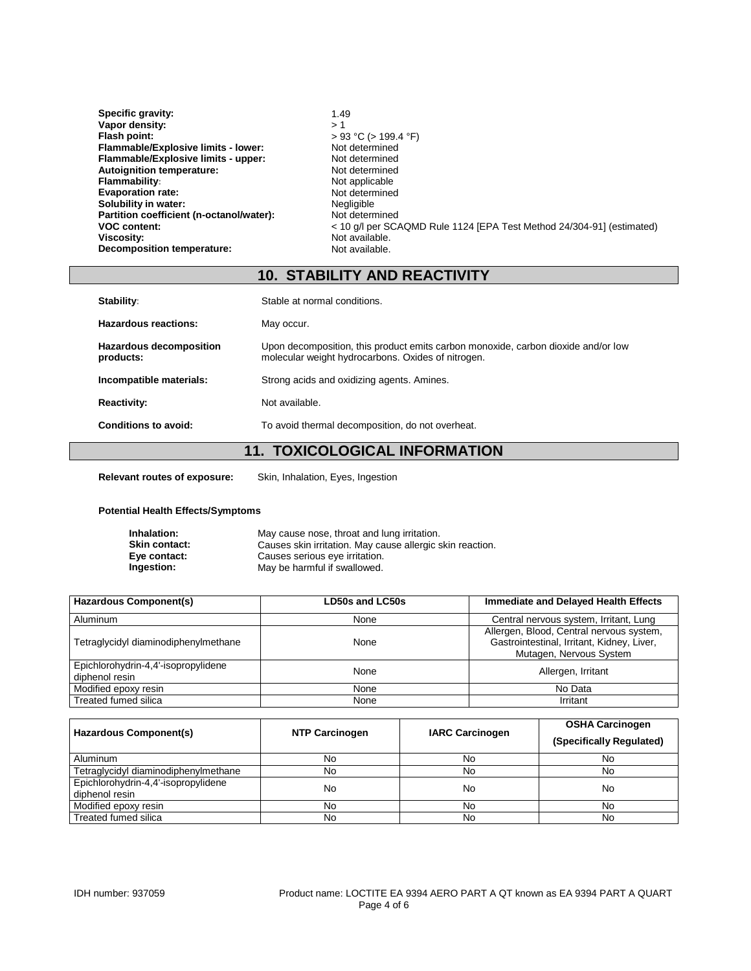| Specific gravity:                        | 1.49                                                                  |
|------------------------------------------|-----------------------------------------------------------------------|
| Vapor density:                           | >1                                                                    |
| Flash point:                             | $> 93$ °C ( $> 199.4$ °F)                                             |
| Flammable/Explosive limits - lower:      | Not determined                                                        |
| Flammable/Explosive limits - upper:      | Not determined                                                        |
| <b>Autoignition temperature:</b>         | Not determined                                                        |
| <b>Flammability:</b>                     | Not applicable                                                        |
| <b>Evaporation rate:</b>                 | Not determined                                                        |
| Solubility in water:                     | Negligible                                                            |
| Partition coefficient (n-octanol/water): | Not determined                                                        |
| <b>VOC content:</b>                      | < 10 q/l per SCAQMD Rule 1124 [EPA Test Method 24/304-91] (estimated) |
| Viscosity:                               | Not available.                                                        |
| <b>Decomposition temperature:</b>        | Not available.                                                        |

# **10. STABILITY AND REACTIVITY**

| Stability:                           | Stable at normal conditions.                                                                                                            |
|--------------------------------------|-----------------------------------------------------------------------------------------------------------------------------------------|
| Hazardous reactions:                 | May occur.                                                                                                                              |
| Hazardous decomposition<br>products: | Upon decomposition, this product emits carbon monoxide, carbon dioxide and/or low<br>molecular weight hydrocarbons. Oxides of nitrogen. |
| Incompatible materials:              | Strong acids and oxidizing agents. Amines.                                                                                              |
| <b>Reactivity:</b>                   | Not available.                                                                                                                          |
| Conditions to avoid:                 | To avoid thermal decomposition, do not overheat.                                                                                        |
|                                      | <b>TOVICOLOGICAL INFORMATION</b><br>$\overline{A}$                                                                                      |

#### **11. TOXICOLOGICAL INFORMATION**

**Relevant routes of exposure:** Skin, Inhalation, Eyes, Ingestion

#### **Potential Health Effects/Symptoms**

| Inhalation:          | May cause nose, throat and lung irritation.               |
|----------------------|-----------------------------------------------------------|
| <b>Skin contact:</b> | Causes skin irritation. May cause allergic skin reaction. |
| Eye contact:         | Causes serious eye irritation.                            |
| Ingestion:           | May be harmful if swallowed.                              |

| <b>Hazardous Component(s)</b>                         | LD50s and LC50s | <b>Immediate and Delayed Health Effects</b>                                                                       |
|-------------------------------------------------------|-----------------|-------------------------------------------------------------------------------------------------------------------|
| Aluminum                                              | None            | Central nervous system, Irritant, Lung                                                                            |
| Tetraglycidyl diaminodiphenylmethane                  | None            | Allergen, Blood, Central nervous system,<br>Gastrointestinal, Irritant, Kidney, Liver,<br>Mutagen, Nervous System |
| Epichlorohydrin-4,4'-isopropylidene<br>diphenol resin | None            | Allergen, Irritant                                                                                                |
| Modified epoxy resin                                  | None            | No Data                                                                                                           |
| Treated fumed silica                                  | None            | Irritant                                                                                                          |

| Hazardous Component(s)                                | <b>NTP Carcinogen</b> | <b>IARC Carcinogen</b> | <b>OSHA Carcinogen</b><br>(Specifically Regulated) |
|-------------------------------------------------------|-----------------------|------------------------|----------------------------------------------------|
| Aluminum                                              | No                    | No                     | No                                                 |
| Tetraglycidyl diaminodiphenylmethane                  | No                    | No                     | No.                                                |
| Epichlorohydrin-4,4'-isopropylidene<br>diphenol resin | No                    | No                     | No                                                 |
| Modified epoxy resin                                  | No                    | No                     | No                                                 |
| Treated fumed silica                                  | No                    | No                     | No                                                 |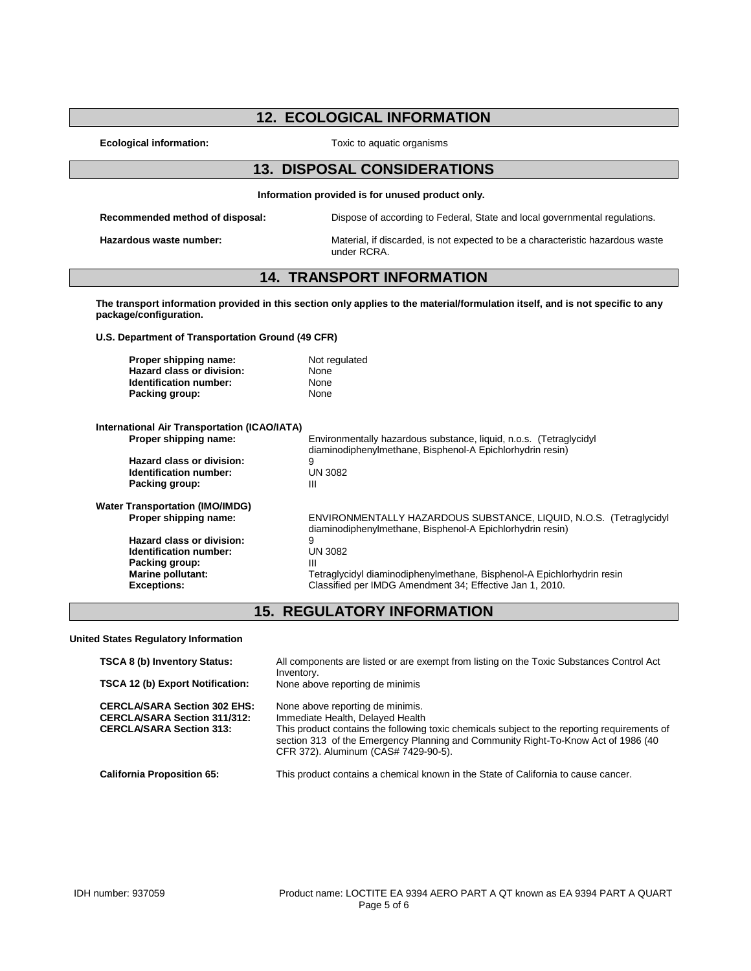# **12. ECOLOGICAL INFORMATION**

**Ecological information:** Toxic to aquatic organisms

#### **13. DISPOSAL CONSIDERATIONS**

**Information provided is for unused product only.**

**Recommended method of disposal:** Dispose of according to Federal, State and local governmental regulations.

**Hazardous waste number:** Material, if discarded, is not expected to be a characteristic hazardous waste under RCRA.

### **14. TRANSPORT INFORMATION**

**The transport information provided in this section only applies to the material/formulation itself, and is not specific to any package/configuration.**

**U.S. Department of Transportation Ground (49 CFR)**

| Proper shipping name:     | Not regulated |
|---------------------------|---------------|
| Hazard class or division: | None          |
| Identification number:    | None          |
| Packing group:            | None          |

| International Air Transportation (ICAO/IATA) |                                                                                                                                 |
|----------------------------------------------|---------------------------------------------------------------------------------------------------------------------------------|
| Proper shipping name:                        | Environmentally hazardous substance, liquid, n.o.s. (Tetraglycidyl<br>diaminodiphenylmethane, Bisphenol-A Epichlorhydrin resin) |
| Hazard class or division:                    | 9                                                                                                                               |
| Identification number:                       | <b>UN 3082</b>                                                                                                                  |
| Packing group:                               | Ш                                                                                                                               |
| <b>Water Transportation (IMO/IMDG)</b>       |                                                                                                                                 |
| Proper shipping name:                        | ENVIRONMENTALLY HAZARDOUS SUBSTANCE, LIQUID, N.O.S. (Tetraglycidyl<br>diaminodiphenylmethane, Bisphenol-A Epichlorhydrin resin) |
| Hazard class or division:                    | 9                                                                                                                               |
| Identification number:                       | <b>UN 3082</b>                                                                                                                  |
| Packing group:                               | Ш                                                                                                                               |
| Marine pollutant:                            | Tetraglycidyl diaminodiphenylmethane, Bisphenol-A Epichlorhydrin resin                                                          |
| <b>Exceptions:</b>                           | Classified per IMDG Amendment 34; Effective Jan 1, 2010.                                                                        |

# **15. REGULATORY INFORMATION**

**United States Regulatory Information**

| <b>TSCA 8 (b) Inventory Status:</b>                                                                           | All components are listed or are exempt from listing on the Toxic Substances Control Act<br>Inventory.                                                                                                                                                                                            |
|---------------------------------------------------------------------------------------------------------------|---------------------------------------------------------------------------------------------------------------------------------------------------------------------------------------------------------------------------------------------------------------------------------------------------|
| <b>TSCA 12 (b) Export Notification:</b>                                                                       | None above reporting de minimis                                                                                                                                                                                                                                                                   |
| <b>CERCLA/SARA Section 302 EHS:</b><br><b>CERCLA/SARA Section 311/312:</b><br><b>CERCLA/SARA Section 313:</b> | None above reporting de minimis.<br>Immediate Health, Delayed Health<br>This product contains the following toxic chemicals subject to the reporting requirements of<br>section 313 of the Emergency Planning and Community Right-To-Know Act of 1986 (40<br>CFR 372). Aluminum (CAS# 7429-90-5). |
| <b>California Proposition 65:</b>                                                                             | This product contains a chemical known in the State of California to cause cancer.                                                                                                                                                                                                                |